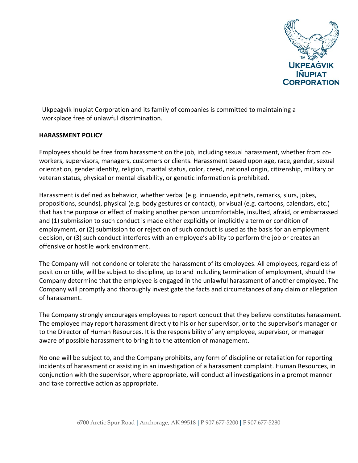

Ukpeaġvik Inupiat Corporation and its family of companies is committed to maintaining a workplace free of unlawful discrimination.

## **HARASSMENT POLICY**

Employees should be free from harassment on the job, including sexual harassment, whether from coworkers, supervisors, managers, customers or clients. Harassment based upon age, race, gender, sexual orientation, gender identity, religion, marital status, color, creed, national origin, citizenship, military or veteran status, physical or mental disability, or genetic information is prohibited.

Harassment is defined as behavior, whether verbal (e.g. innuendo, epithets, remarks, slurs, jokes, propositions, sounds), physical (e.g. body gestures or contact), or visual (e.g. cartoons, calendars, etc.) that has the purpose or effect of making another person uncomfortable, insulted, afraid, or embarrassed and (1) submission to such conduct is made either explicitly or implicitly a term or condition of employment, or (2) submission to or rejection of such conduct is used as the basis for an employment decision, or (3) such conduct interferes with an employee's ability to perform the job or creates an offensive or hostile work environment.

The Company will not condone or tolerate the harassment of its employees. All employees, regardless of position or title, will be subject to discipline, up to and including termination of employment, should the Company determine that the employee is engaged in the unlawful harassment of another employee. The Company will promptly and thoroughly investigate the facts and circumstances of any claim or allegation of harassment.

The Company strongly encourages employees to report conduct that they believe constitutes harassment. The employee may report harassment directly to his or her supervisor, or to the supervisor's manager or to the Director of Human Resources. It is the responsibility of any employee, supervisor, or manager aware of possible harassment to bring it to the attention of management.

No one will be subject to, and the Company prohibits, any form of discipline or retaliation for reporting incidents of harassment or assisting in an investigation of a harassment complaint. Human Resources, in conjunction with the supervisor, where appropriate, will conduct all investigations in a prompt manner and take corrective action as appropriate.